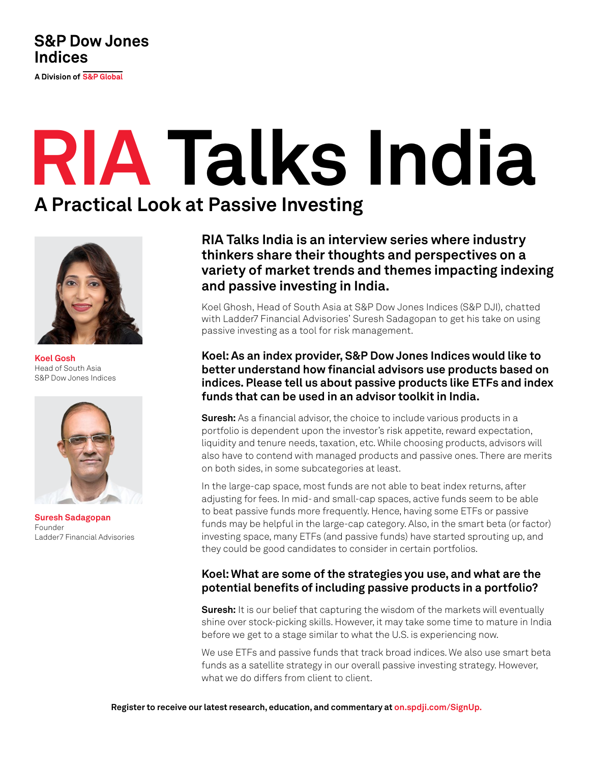## **S&P Dow Jones Indices**

A Division of S&P Global

# **RIA Talks India A Practical Look at Passive Investing**

**Koel Gosh** Head of South Asia S&P Dow Jones Indices



**Suresh Sadagopan** Founder Ladder7 Financial Advisories

**RIA Talks India is an interview series where industry thinkers share their thoughts and perspectives on a variety of market trends and themes impacting indexing and passive investing in India.** 

Koel Ghosh, Head of South Asia at S&P Dow Jones Indices (S&P DJI), chatted with Ladder7 Financial Advisories' Suresh Sadagopan to get his take on using passive investing as a tool for risk management.

#### **Koel: As an index provider, S&P Dow Jones Indices would like to better understand how financial advisors use products based on indices. Please tell us about passive products like ETFs and index funds that can be used in an advisor toolkit in India.**

**Suresh:** As a financial advisor, the choice to include various products in a portfolio is dependent upon the investor's risk appetite, reward expectation, liquidity and tenure needs, taxation, etc. While choosing products, advisors will also have to contend with managed products and passive ones. There are merits on both sides, in some subcategories at least.

In the large-cap space, most funds are not able to beat index returns, after adjusting for fees. In mid- and small-cap spaces, active funds seem to be able to beat passive funds more frequently. Hence, having some ETFs or passive funds may be helpful in the large-cap category. Also, in the smart beta (or factor) investing space, many ETFs (and passive funds) have started sprouting up, and they could be good candidates to consider in certain portfolios.

### **Koel: What are some of the strategies you use, and what are the potential benefits of including passive products in a portfolio?**

**Suresh:** It is our belief that capturing the wisdom of the markets will eventually shine over stock-picking skills. However, it may take some time to mature in India before we get to a stage similar to what the U.S. is experiencing now.

We use ETFs and passive funds that track broad indices. We also use smart beta funds as a satellite strategy in our overall passive investing strategy. However, what we do differs from client to client.

**Register to receive our latest research, education, and commentary at on[.spdji.com/SignUp.](https://on.spdji.com/SignUp.html?src=DocFooters)**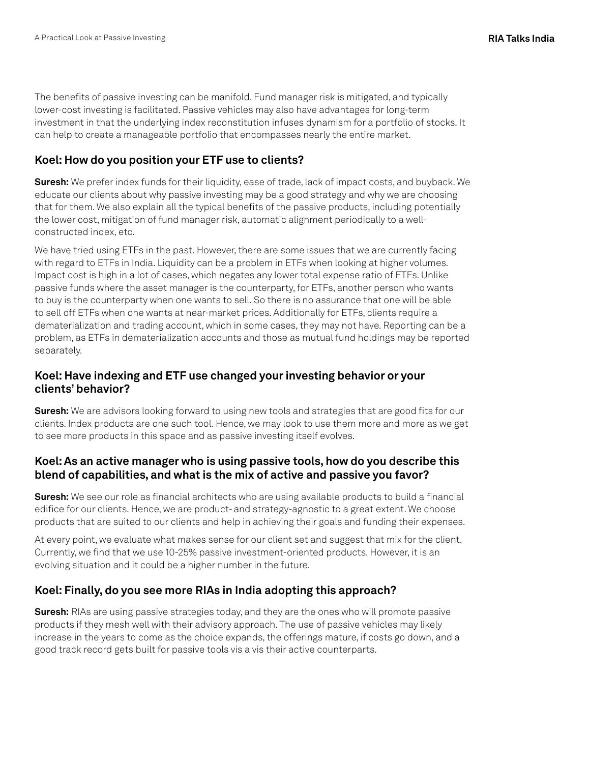The benefits of passive investing can be manifold. Fund manager risk is mitigated, and typically lower-cost investing is facilitated. Passive vehicles may also have advantages for long-term investment in that the underlying index reconstitution infuses dynamism for a portfolio of stocks. It can help to create a manageable portfolio that encompasses nearly the entire market.

#### **Koel: How do you position your ETF use to clients?**

**Suresh:** We prefer index funds for their liquidity, ease of trade, lack of impact costs, and buyback. We educate our clients about why passive investing may be a good strategy and why we are choosing that for them. We also explain all the typical benefits of the passive products, including potentially the lower cost, mitigation of fund manager risk, automatic alignment periodically to a wellconstructed index, etc.

We have tried using ETFs in the past. However, there are some issues that we are currently facing with regard to ETFs in India. Liquidity can be a problem in ETFs when looking at higher volumes. Impact cost is high in a lot of cases, which negates any lower total expense ratio of ETFs. Unlike passive funds where the asset manager is the counterparty, for ETFs, another person who wants to buy is the counterparty when one wants to sell. So there is no assurance that one will be able to sell off ETFs when one wants at near-market prices. Additionally for ETFs, clients require a dematerialization and trading account, which in some cases, they may not have. Reporting can be a problem, as ETFs in dematerialization accounts and those as mutual fund holdings may be reported separately.

#### **Koel: Have indexing and ETF use changed your investing behavior or your clients' behavior?**

**Suresh:** We are advisors looking forward to using new tools and strategies that are good fits for our clients. Index products are one such tool. Hence, we may look to use them more and more as we get to see more products in this space and as passive investing itself evolves.

#### **Koel: As an active manager who is using passive tools, how do you describe this blend of capabilities, and what is the mix of active and passive you favor?**

**Suresh:** We see our role as financial architects who are using available products to build a financial edifice for our clients. Hence, we are product- and strategy-agnostic to a great extent. We choose products that are suited to our clients and help in achieving their goals and funding their expenses.

At every point, we evaluate what makes sense for our client set and suggest that mix for the client. Currently, we find that we use 10-25% passive investment-oriented products. However, it is an evolving situation and it could be a higher number in the future.

### **Koel: Finally, do you see more RIAs in India adopting this approach?**

**Suresh:** RIAs are using passive strategies today, and they are the ones who will promote passive products if they mesh well with their advisory approach. The use of passive vehicles may likely increase in the years to come as the choice expands, the offerings mature, if costs go down, and a good track record gets built for passive tools vis a vis their active counterparts.